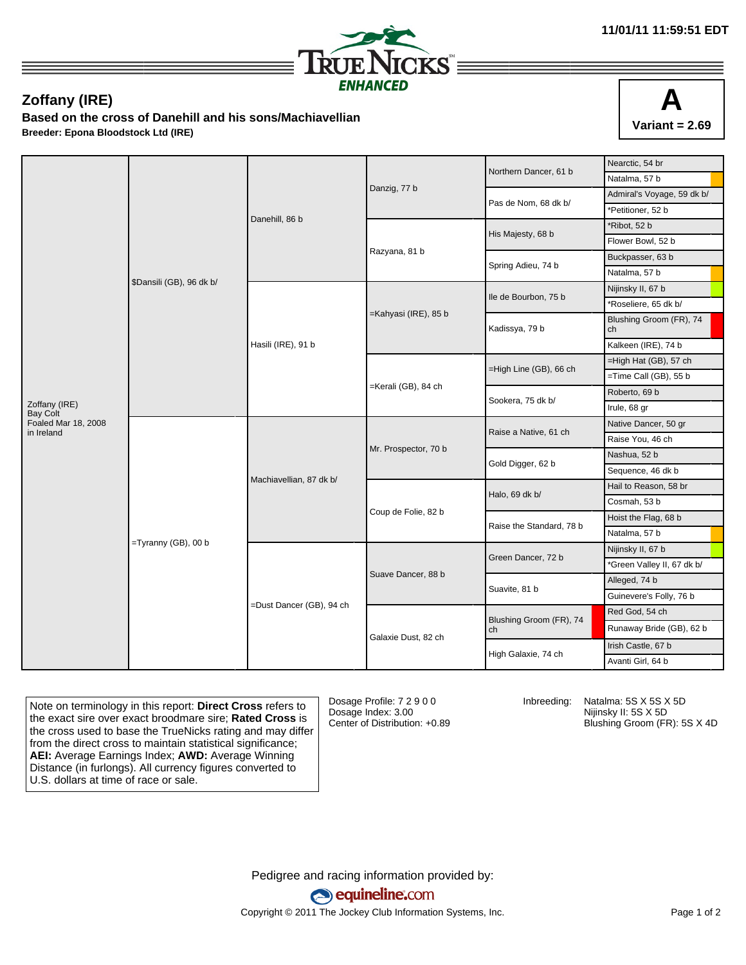

## **Zoffany (IRE)**

**Based on the cross of Danehill and his sons/Machiavellian Breeder: Epona Bloodstock Ltd (IRE)**



|                                  |                          |                          |                      | Northern Dancer, 61 b    | Nearctic, 54 br               |
|----------------------------------|--------------------------|--------------------------|----------------------|--------------------------|-------------------------------|
|                                  | \$Dansili (GB), 96 dk b/ | Danehill, 86 b           |                      |                          | Natalma, 57 b                 |
|                                  |                          |                          | Danzig, 77 b         | Pas de Nom, 68 dk b/     | Admiral's Voyage, 59 dk b/    |
|                                  |                          |                          |                      |                          | *Petitioner, 52 b             |
|                                  |                          |                          |                      | His Majesty, 68 b        | *Ribot, 52 b                  |
|                                  |                          |                          | Razyana, 81 b        |                          | Flower Bowl, 52 b             |
|                                  |                          |                          |                      | Spring Adieu, 74 b       | Buckpasser, 63 b              |
|                                  |                          |                          |                      |                          | Natalma, 57 b                 |
|                                  |                          | Hasili (IRE), 91 b       | =Kahyasi (IRE), 85 b | Ile de Bourbon, 75 b     | Nijinsky II, 67 b             |
|                                  |                          |                          |                      |                          | *Roseliere, 65 dk b/          |
|                                  |                          |                          |                      | Kadissya, 79 b           | Blushing Groom (FR), 74<br>ch |
|                                  |                          |                          |                      |                          | Kalkeen (IRE), 74 b           |
|                                  |                          |                          | =Kerali (GB), 84 ch  | =High Line (GB), 66 ch   | =High Hat (GB), 57 ch         |
|                                  |                          |                          |                      |                          | $=$ Time Call (GB), 55 b      |
| Zoffany (IRE)<br><b>Bay Colt</b> |                          |                          |                      | Sookera, 75 dk b/        | Roberto, 69 b                 |
|                                  |                          |                          |                      |                          | Irule, 68 gr                  |
| Foaled Mar 18, 2008              | $=$ Tyranny (GB), 00 b   | Machiavellian, 87 dk b/  | Mr. Prospector, 70 b | Raise a Native, 61 ch    | Native Dancer, 50 gr          |
| in Ireland                       |                          |                          |                      |                          | Raise You, 46 ch              |
|                                  |                          |                          |                      | Gold Digger, 62 b        | Nashua, 52 b                  |
|                                  |                          |                          |                      |                          | Sequence, 46 dk b             |
|                                  |                          |                          | Coup de Folie, 82 b  | Halo, 69 dk b/           | Hail to Reason, 58 br         |
|                                  |                          |                          |                      |                          | Cosmah, 53 b                  |
|                                  |                          |                          |                      | Raise the Standard, 78 b | Hoist the Flag, 68 b          |
|                                  |                          |                          |                      |                          | Natalma, 57 b                 |
|                                  |                          | =Dust Dancer (GB), 94 ch | Suave Dancer, 88 b   | Green Dancer, 72 b       | Nijinsky II, 67 b             |
|                                  |                          |                          |                      |                          | *Green Valley II, 67 dk b/    |
|                                  |                          |                          |                      | Suavite, 81 b            | Alleged, 74 b                 |
|                                  |                          |                          |                      |                          | Guinevere's Folly, 76 b       |
|                                  |                          |                          | Galaxie Dust, 82 ch  | Blushing Groom (FR), 74  | Red God, 54 ch                |
|                                  |                          |                          |                      | ch                       | Runaway Bride (GB), 62 b      |
|                                  |                          |                          |                      | High Galaxie, 74 ch      | Irish Castle, 67 b            |
|                                  |                          |                          |                      |                          | Avanti Girl, 64 b             |

Note on terminology in this report: **Direct Cross** refers to the exact sire over exact broodmare sire; **Rated Cross** is the cross used to base the TrueNicks rating and may differ from the direct cross to maintain statistical significance; **AEI:** Average Earnings Index; **AWD:** Average Winning Distance (in furlongs). All currency figures converted to U.S. dollars at time of race or sale.

Dosage Profile: 7 2 9 0 0 Dosage Index: 3.00 Center of Distribution: +0.89

Inbreeding: Natalma: 5S X 5S X 5D Nijinsky II: 5S X 5D Blushing Groom (FR): 5S X 4D